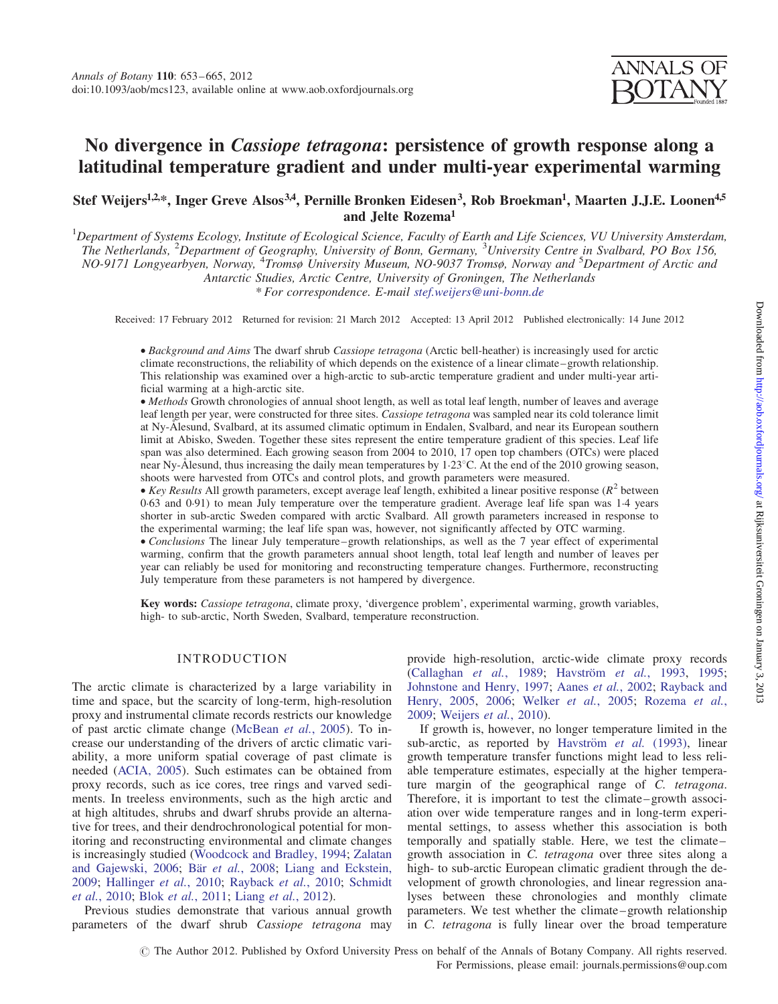# No divergence in Cassiope tetragona: persistence of growth response along a latitudinal temperature gradient and under multi-year experimental warming

# Stef Weijers<sup>1,2,\*</sup>, Inger Greve Alsos<sup>3,4</sup>, Pernille Bronken Eidesen<sup>3</sup>, Rob Broekman<sup>1</sup>, Maarten J.J.E. Loonen<sup>4,5</sup> and Jelte Rozema1

 $^1$ Department of Systems Ecology, Institute of Ecological Science, Faculty of Earth and Life Sciences, VU University Amsterdam, The Netherlands, <sup>2</sup>Department of Geography, University of Bonn, Germany, <sup>3</sup>University Centre in Svalbard, PO Box 156, NO-9171 Longyearbyen, Norway, <sup>4</sup>Tromsø University Museum, NO-9037 Tromsø, Norway and <sup>5</sup>Department of Arctic and Antarctic Studies, Arctic Centre, University of Groningen, The Netherlands \* For correspondence. E-mail [stef.weijers@uni-bonn.de](mailto:stef.weijers@uni-bonn.de)

Received: 17 February 2012 Returned for revision: 21 March 2012 Accepted: 13 April 2012 Published electronically: 14 June 2012

† Background and Aims The dwarf shrub Cassiope tetragona (Arctic bell-heather) is increasingly used for arctic climate reconstructions, the reliability of which depends on the existence of a linear climate–growth relationship. This relationship was examined over a high-arctic to sub-arctic temperature gradient and under multi-year artificial warming at a high-arctic site.

• Methods Growth chronologies of annual shoot length, as well as total leaf length, number of leaves and average leaf length per year, were constructed for three sites. Cassiope tetragona was sampled near its cold tolerance limit at Ny-Ålesund, Svalbard, at its assumed climatic optimum in Endalen, Svalbard, and near its European southern limit at Abisko, Sweden. Together these sites represent the entire temperature gradient of this species. Leaf life span was also determined. Each growing season from 2004 to 2010, 17 open top chambers (OTCs) were placed near Ny-Ålesund, thus increasing the daily mean temperatures by  $1.23^{\circ}$ C. At the end of the 2010 growing season, shoots were harvested from OTCs and control plots, and growth parameters were measured.

 $\bullet$  Key Results All growth parameters, except average leaf length, exhibited a linear positive response ( $R^2$  between 0.63 and 0.91) to mean July temperature over the temperature gradient. Average leaf life span was 1.4 years shorter in sub-arctic Sweden compared with arctic Svalbard. All growth parameters increased in response to the experimental warming; the leaf life span was, however, not significantly affected by OTC warming.

• Conclusions The linear July temperature–growth relationships, as well as the 7 year effect of experimental warming, confirm that the growth parameters annual shoot length, total leaf length and number of leaves per year can reliably be used for monitoring and reconstructing temperature changes. Furthermore, reconstructing July temperature from these parameters is not hampered by divergence.

Key words: Cassiope tetragona, climate proxy, 'divergence problem', experimental warming, growth variables, high- to sub-arctic, North Sweden, Svalbard, temperature reconstruction.

# INTRODUCTION

The arctic climate is characterized by a large variability in time and space, but the scarcity of long-term, high-resolution proxy and instrumental climate records restricts our knowledge of past arctic climate change ([McBean](#page-12-0) et al., 2005). To increase our understanding of the drivers of arctic climatic variability, a more uniform spatial coverage of past climate is needed ([ACIA, 2005](#page-11-0)). Such estimates can be obtained from proxy records, such as ice cores, tree rings and varved sediments. In treeless environments, such as the high arctic and at high altitudes, shrubs and dwarf shrubs provide an alternative for trees, and their dendrochronological potential for monitoring and reconstructing environmental and climate changes is increasingly studied ([Woodcock and Bradley, 1994;](#page-12-0) [Zalatan](#page-12-0) [and Gajewski, 2006;](#page-12-0) Bär et al.[, 2008;](#page-11-0) [Liang and Eckstein,](#page-12-0) [2009;](#page-12-0) [Hallinger](#page-12-0) et al., 2010; [Rayback](#page-12-0) et al., 2010; [Schmidt](#page-12-0) et al.[, 2010;](#page-12-0) Blok et al.[, 2011](#page-12-0); Liang et al.[, 2012\)](#page-12-0).

Previous studies demonstrate that various annual growth parameters of the dwarf shrub Cassiope tetragona may provide high-resolution, arctic-wide climate proxy records [\(Callaghan](#page-12-0) et al., 1989; Havström et al., 1993, [1995;](#page-12-0) [Johnstone and Henry, 1997](#page-12-0); Aanes et al.[, 2002;](#page-11-0) [Rayback and](#page-12-0) [Henry, 2005](#page-12-0), [2006;](#page-12-0) Welker et al.[, 2005;](#page-12-0) [Rozema](#page-12-0) et al., [2009;](#page-12-0) [Weijers](#page-12-0) et al., 2010).

If growth is, however, no longer temperature limited in the sub-arctic, as reported by Havström et al. (1993), linear growth temperature transfer functions might lead to less reliable temperature estimates, especially at the higher temperature margin of the geographical range of C. tetragona. Therefore, it is important to test the climate–growth association over wide temperature ranges and in long-term experimental settings, to assess whether this association is both temporally and spatially stable. Here, we test the climate– growth association in C. tetragona over three sites along a high- to sub-arctic European climatic gradient through the development of growth chronologies, and linear regression analyses between these chronologies and monthly climate parameters. We test whether the climate–growth relationship in C. tetragona is fully linear over the broad temperature

# The Author 2012. Published by Oxford University Press on behalf of the Annals of Botany Company. All rights reserved. For Permissions, please email: journals.permissions@oup.com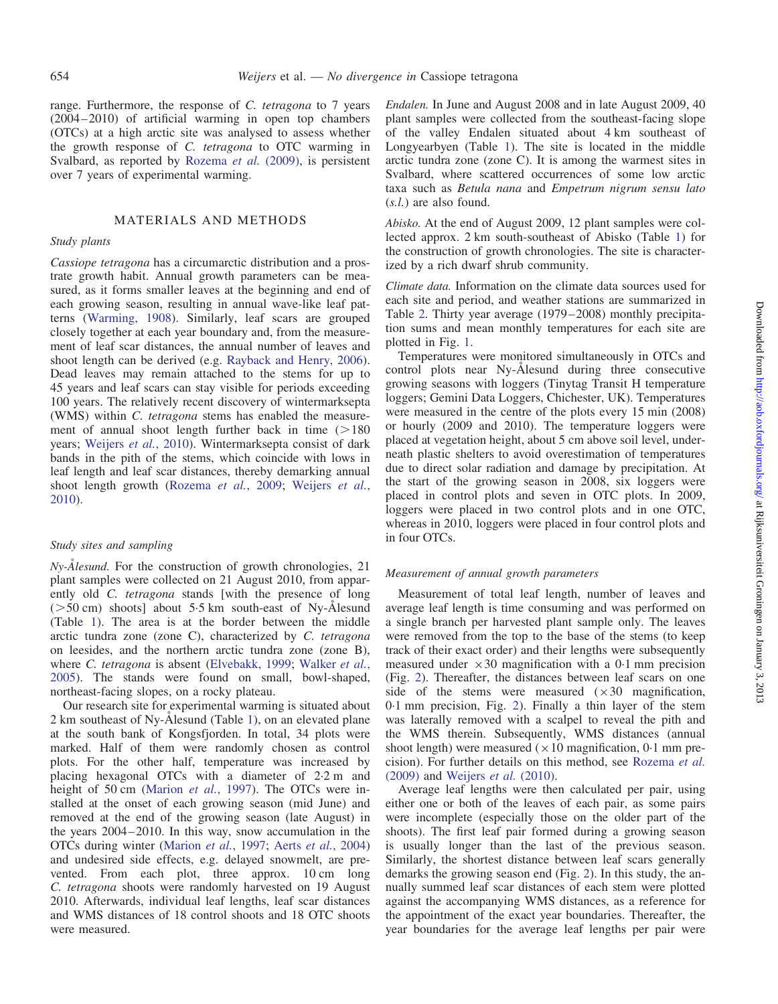range. Furthermore, the response of C. tetragona to 7 years (2004–2010) of artificial warming in open top chambers (OTCs) at a high arctic site was analysed to assess whether the growth response of C. tetragona to OTC warming in Svalbard, as reported by [Rozema](#page-12-0) *et al.* (2009), is persistent over 7 years of experimental warming.

# MATERIALS AND METHODS

# Study plants

Cassiope tetragona has a circumarctic distribution and a prostrate growth habit. Annual growth parameters can be measured, as it forms smaller leaves at the beginning and end of each growing season, resulting in annual wave-like leaf patterns ([Warming, 1908](#page-12-0)). Similarly, leaf scars are grouped closely together at each year boundary and, from the measurement of leaf scar distances, the annual number of leaves and shoot length can be derived (e.g. [Rayback and Henry, 2006\)](#page-12-0). Dead leaves may remain attached to the stems for up to 45 years and leaf scars can stay visible for periods exceeding 100 years. The relatively recent discovery of wintermarksepta (WMS) within C. tetragona stems has enabled the measurement of annual shoot length further back in time  $(>180$ years; [Weijers](#page-12-0) et al., 2010). Wintermarksepta consist of dark bands in the pith of the stems, which coincide with lows in leaf length and leaf scar distances, thereby demarking annual shoot length growth [\(Rozema](#page-12-0) et al., 2009; [Weijers](#page-12-0) et al., [2010\)](#page-12-0).

# Study sites and sampling

 $Ny$ - $Å$ *lesund*. For the construction of growth chronologies, 21 plant samples were collected on 21 August 2010, from apparently old C. tetragona stands [with the presence of long  $($ >50 cm) shoots] about 5.5 km south-east of Ny-Ålesund (Table [1](#page-2-0)). The area is at the border between the middle arctic tundra zone (zone C), characterized by C. tetragona on leesides, and the northern arctic tundra zone (zone B), where C. tetragona is absent ([Elvebakk, 1999](#page-12-0); [Walker](#page-12-0) et al., [2005\)](#page-12-0). The stands were found on small, bowl-shaped, northeast-facing slopes, on a rocky plateau.

Our research site for experimental warming is situated about  $2 \text{ km}$  southeast of Ny- $\AA$ lesund (Table [1\)](#page-2-0), on an elevated plane at the south bank of Kongsfjorden. In total, 34 plots were marked. Half of them were randomly chosen as control plots. For the other half, temperature was increased by placing hexagonal OTCs with a diameter of 2.2 m and height of 50 cm ([Marion](#page-12-0) et al., 1997). The OTCs were installed at the onset of each growing season (mid June) and removed at the end of the growing season (late August) in the years 2004–2010. In this way, snow accumulation in the OTCs during winter ([Marion](#page-12-0) et al., 1997; Aerts et al.[, 2004](#page-11-0)) and undesired side effects, e.g. delayed snowmelt, are prevented. From each plot, three approx. 10 cm long C. tetragona shoots were randomly harvested on 19 August 2010. Afterwards, individual leaf lengths, leaf scar distances and WMS distances of 18 control shoots and 18 OTC shoots were measured.

Endalen. In June and August 2008 and in late August 2009, 40 plant samples were collected from the southeast-facing slope of the valley Endalen situated about 4 km southeast of Longyearbyen (Table [1](#page-2-0)). The site is located in the middle arctic tundra zone (zone C). It is among the warmest sites in Svalbard, where scattered occurrences of some low arctic taxa such as Betula nana and Empetrum nigrum sensu lato (s.l.) are also found.

Abisko. At the end of August 2009, 12 plant samples were collected approx. 2 km south-southeast of Abisko (Table [1\)](#page-2-0) for the construction of growth chronologies. The site is characterized by a rich dwarf shrub community.

Climate data. Information on the climate data sources used for each site and period, and weather stations are summarized in Table [2.](#page-3-0) Thirty year average (1979–2008) monthly precipitation sums and mean monthly temperatures for each site are plotted in Fig. [1](#page-4-0).

Temperatures were monitored simultaneously in OTCs and control plots near Ny-Alesund during three consecutive growing seasons with loggers (Tinytag Transit H temperature loggers; Gemini Data Loggers, Chichester, UK). Temperatures were measured in the centre of the plots every 15 min (2008) or hourly (2009 and 2010). The temperature loggers were placed at vegetation height, about 5 cm above soil level, underneath plastic shelters to avoid overestimation of temperatures due to direct solar radiation and damage by precipitation. At the start of the growing season in 2008, six loggers were placed in control plots and seven in OTC plots. In 2009, loggers were placed in two control plots and in one OTC, whereas in 2010, loggers were placed in four control plots and in four OTCs.

# Measurement of annual growth parameters

Measurement of total leaf length, number of leaves and average leaf length is time consuming and was performed on a single branch per harvested plant sample only. The leaves were removed from the top to the base of the stems (to keep track of their exact order) and their lengths were subsequently measured under  $\times 30$  magnification with a 0.1 mm precision (Fig. [2\)](#page-4-0). Thereafter, the distances between leaf scars on one side of the stems were measured  $(\times 30$  magnification, 0.1 mm precision, Fig. [2\)](#page-4-0). Finally a thin layer of the stem was laterally removed with a scalpel to reveal the pith and the WMS therein. Subsequently, WMS distances (annual shoot length) were measured ( $\times$  10 magnification, 0.1 mm precision). For further details on this method, see [Rozema](#page-12-0) et al. [\(2009\)](#page-12-0) and [Weijers](#page-12-0) et al. (2010).

Average leaf lengths were then calculated per pair, using either one or both of the leaves of each pair, as some pairs were incomplete (especially those on the older part of the shoots). The first leaf pair formed during a growing season is usually longer than the last of the previous season. Similarly, the shortest distance between leaf scars generally demarks the growing season end (Fig. [2](#page-4-0)). In this study, the annually summed leaf scar distances of each stem were plotted against the accompanying WMS distances, as a reference for the appointment of the exact year boundaries. Thereafter, the year boundaries for the average leaf lengths per pair were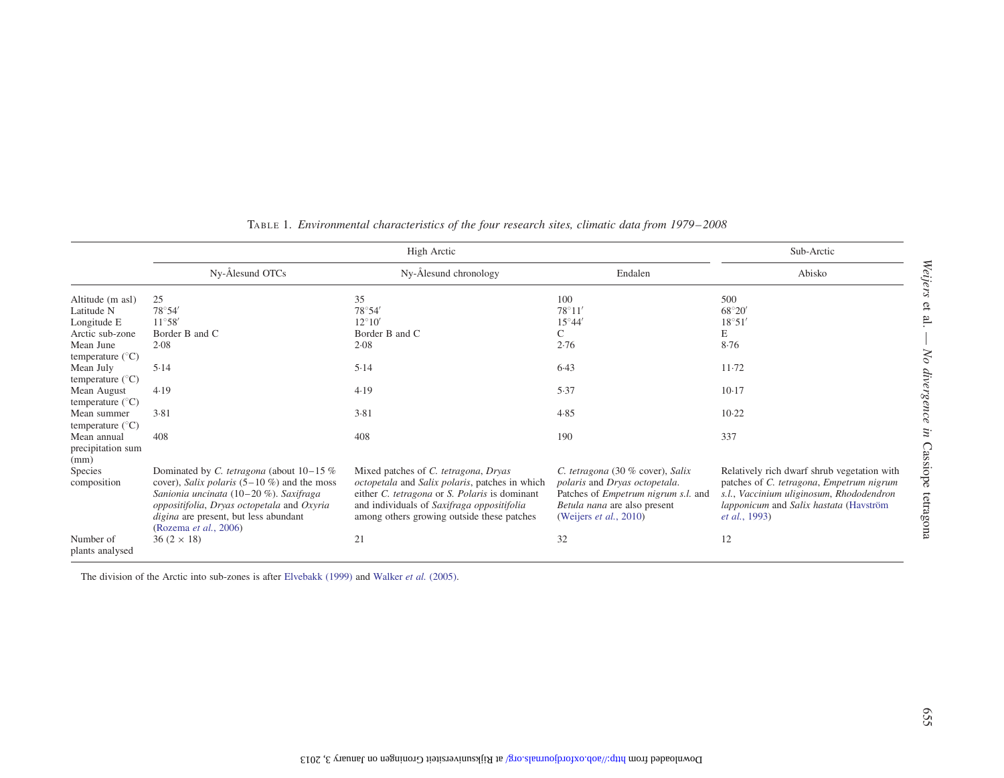<span id="page-2-0"></span>

|                                          |                                                                                                                                                                                                                                                       | High Arctic                                                                                                                                                                                                                         |                                                                                                                                                                                   | Sub-Arctic                                                                                                                                                                                             |
|------------------------------------------|-------------------------------------------------------------------------------------------------------------------------------------------------------------------------------------------------------------------------------------------------------|-------------------------------------------------------------------------------------------------------------------------------------------------------------------------------------------------------------------------------------|-----------------------------------------------------------------------------------------------------------------------------------------------------------------------------------|--------------------------------------------------------------------------------------------------------------------------------------------------------------------------------------------------------|
|                                          | Ny-Ålesund OTCs                                                                                                                                                                                                                                       | Ny-Ålesund chronology                                                                                                                                                                                                               | Endalen                                                                                                                                                                           | Abisko                                                                                                                                                                                                 |
| Altitude (m asl)                         | 25                                                                                                                                                                                                                                                    | 35                                                                                                                                                                                                                                  | 100                                                                                                                                                                               | 500                                                                                                                                                                                                    |
| Latitude N                               | $78^{\circ}54'$                                                                                                                                                                                                                                       | 78°54'                                                                                                                                                                                                                              | $78^{\circ}11'$                                                                                                                                                                   | $68^{\circ}20'$                                                                                                                                                                                        |
| Longitude E                              | $11^{\circ}58'$                                                                                                                                                                                                                                       | $12^{\circ}10'$                                                                                                                                                                                                                     | $15^{\circ}44'$                                                                                                                                                                   | $18^{\circ}51'$                                                                                                                                                                                        |
| Arctic sub-zone                          | Border B and C                                                                                                                                                                                                                                        | Border B and C                                                                                                                                                                                                                      | C                                                                                                                                                                                 | E                                                                                                                                                                                                      |
| Mean June<br>temperature $(^{\circ}C)$   | 2.08                                                                                                                                                                                                                                                  | 2.08                                                                                                                                                                                                                                | 2.76                                                                                                                                                                              | 8.76                                                                                                                                                                                                   |
| Mean July<br>temperature $(^{\circ}C)$   | 5.14                                                                                                                                                                                                                                                  | 5.14                                                                                                                                                                                                                                | 6.43                                                                                                                                                                              | $11-72$                                                                                                                                                                                                |
| Mean August<br>temperature $(^{\circ}C)$ | 4.19                                                                                                                                                                                                                                                  | 4.19                                                                                                                                                                                                                                | 5.37                                                                                                                                                                              | $10-17$                                                                                                                                                                                                |
| Mean summer<br>temperature $(^{\circ}C)$ | 3.81                                                                                                                                                                                                                                                  | 3.81                                                                                                                                                                                                                                | 4.85                                                                                                                                                                              | $10-22$                                                                                                                                                                                                |
| Mean annual<br>precipitation sum<br>(mm) | 408                                                                                                                                                                                                                                                   | 408                                                                                                                                                                                                                                 | 190                                                                                                                                                                               | 337                                                                                                                                                                                                    |
| <b>Species</b><br>composition            | Dominated by C. tetragona (about $10-15\%$<br>cover), Salix polaris $(5-10\%)$ and the moss<br>Sanionia uncinata (10-20 %). Saxifraga<br>oppositifolia, Dryas octopetala and Oxyria<br>digina are present, but less abundant<br>(Rozema et al., 2006) | Mixed patches of C. tetragona, Dryas<br>octopetala and Salix polaris, patches in which<br>either C. tetragona or S. Polaris is dominant<br>and individuals of Saxifraga oppositifolia<br>among others growing outside these patches | C. tetragona (30 % cover), Salix<br>polaris and Dryas octopetala.<br>Patches of <i>Empetrum nigrum s.l.</i> and<br>Betula nana are also present<br>(Weijers <i>et al.</i> , 2010) | Relatively rich dwarf shrub vegetation with<br>patches of C. tetragona, Empetrum nigrum<br>s.l., Vaccinium uliginosum, Rhododendron<br>lapponicum and Salix hastata (Havström<br><i>et al.</i> , 1993) |
| Number of<br>plants analysed             | $36 (2 \times 18)$                                                                                                                                                                                                                                    | 21                                                                                                                                                                                                                                  | 32                                                                                                                                                                                | 12                                                                                                                                                                                                     |

TABLE 1. Environmental characteristics of the four research sites, climatic data from 1979–2008

The division of the Arctic into sub-zones is after [Elvebakk](#page-12-0) (1999) and Walker *et al.* [\(2005\)](#page-12-0).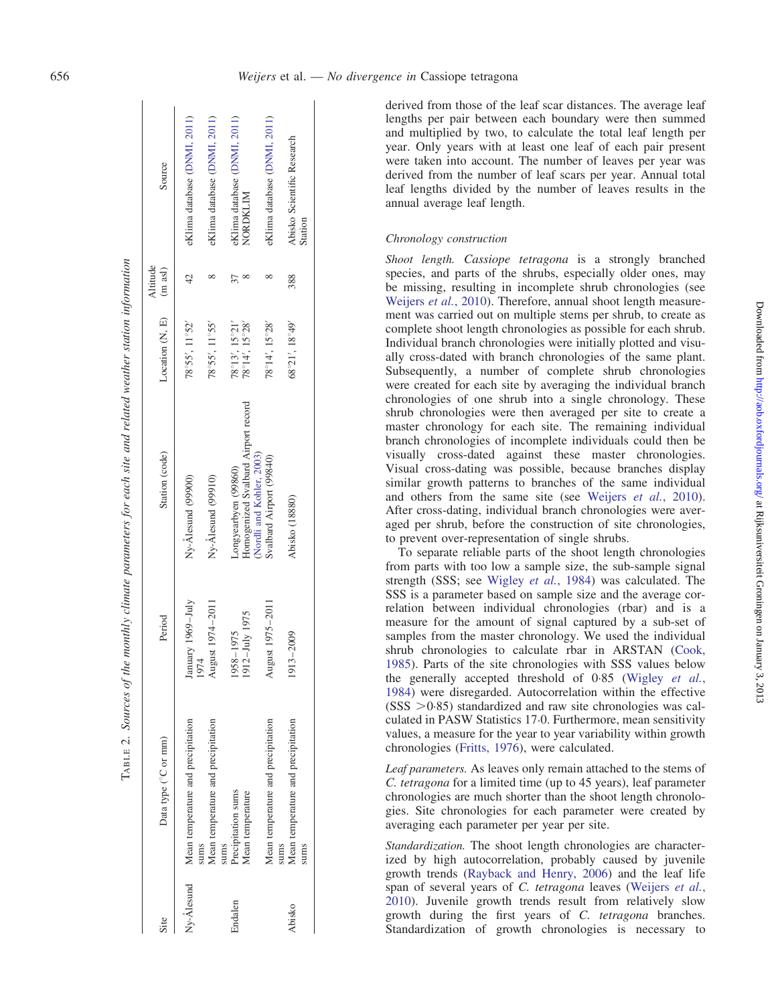<span id="page-3-0"></span> $\mathbf{I}$ 

derived from those of the leaf scar distances. The average leaf lengths per pair between each boundary were then summed and multiplied by two, to calculate the total leaf length per year. Only years with at least one leaf of each pair present were taken into account. The number of leaves per year was derived from the number of leaf scars per year. Annual total leaf lengths divided by the number of leaves results in the annual average leaf length.

# Chronology construction

Shoot length. Cassiope tetragona is a strongly branched species, and parts of the shrubs, especially older ones, may be missing, resulting in incomplete shrub chronologies (see [Weijers](#page-12-0) *et al.*, 2010). Therefore, annual shoot length measurement was carried out on multiple stems per shrub, to create as complete shoot length chronologies as possible for each shrub. Individual branch chronologies were initially plotted and visually cross-dated with branch chronologies of the same plant. Subsequently, a number of complete shrub chronologies were created for each site by averaging the individual branch chronologies of one shrub into a single chronology. These shrub chronologies were then averaged per site to create a master chronology for each site. The remaining individual branch chronologies of incomplete individuals could then be visually cross-dated against these master chronologies. Visual cross-dating was possible, because branches display similar growth patterns to branches of the same individual and others from the same site (see [Weijers](#page-12-0) et al., 2010). After cross-dating, individual branch chronologies were averaged per shrub, before the construction of site chronologies, to prevent over-representation of single shrubs.

To separate reliable parts of the shoot length chronologies from parts with too low a sample size, the sub-sample signal strength (SSS; see [Wigley](#page-12-0) et al., 1984) was calculated. The SSS is a parameter based on sample size and the average correlation between individual chronologies (rbar) and is a measure for the amount of signal captured by a sub-set of samples from the master chronology. We used the individual shrub chronologies to calculate rbar in ARSTAN ([Cook,](#page-12-0) [1985\)](#page-12-0). Parts of the site chronologies with SSS values below the generally accepted threshold of 0.85 [\(Wigley](#page-12-0) et al., [1984\)](#page-12-0) were disregarded. Autocorrelation within the effective  $(SSS > 0.85)$  standardized and raw site chronologies was calculated in PASW Statistics 17.0. Furthermore, mean sensitivity values, a measure for the year to year variability within growth chronologies ([Fritts, 1976\)](#page-12-0), were calculated.

Leaf parameters. As leaves only remain attached to the stems of C. tetragona for a limited time (up to 45 years), leaf parameter chronologies are much shorter than the shoot length chronologies. Site chronologies for each parameter were created by averaging each parameter per year per site.

Standardization. The shoot length chronologies are characterized by high autocorrelation, probably caused by juvenile growth trends [\(Rayback and Henry, 2006\)](#page-12-0) and the leaf life span of several years of C. tetragona leaves [\(Weijers](#page-12-0) et al., [2010\)](#page-12-0). Juvenile growth trends result from relatively slow growth during the first years of C. tetragona branches. Standardization of growth chronologies is necessary to

TABLE 2. Sources of the monthly climate parameters for each site and related weather station information TABLE 2. Sources of the monthly climate parameters for each site and related weather station information

| Source                        | eKlima database (DNMI, 2011)               | eKlima database (DNMI, 2011)       |      | eKlima database (DNMI, 2011)   | NORDKLIM                                                         | eKlima database (DNMI, 2011)       | Abisko Scientific Research                 | Station |
|-------------------------------|--------------------------------------------|------------------------------------|------|--------------------------------|------------------------------------------------------------------|------------------------------------|--------------------------------------------|---------|
| Altitude<br>$(m \text{ asl})$ |                                            |                                    |      |                                |                                                                  |                                    | 388                                        |         |
| Location (N, E)               | $78^{\circ}55'$ , $11^{\circ}52'$          | 78°55', 11°55'                     |      | $78^{\circ}13', 15^{\circ}21'$ | $78^{\circ}14'$ , $15^{\circ}28'$                                | $78^{\circ}14'$ , $15^{\circ}28'$  | $68°21'$ , $18°49'$                        |         |
| Station (code)                | Ny-Alesund (99900)                         | Ny-Ålesund (99910)                 |      | Longyearbyen (99860)           | Homogenized Svalbard Airport record<br>(Nordli and Kohler, 2003) | Svalbard Airport (99840)           | Abisko (18880)                             |         |
| Period                        | January 1969-July<br>1974                  | August 1974-2011                   |      | 1958-1975                      | 1912-July 1975                                                   | August 1975-2011                   | $1913 - 2009$                              |         |
| Data type (°C or mm)          | Mean temperature and precipitation<br>sums | Mean temperature and precipitation | sums | Precipitation sums             | Mean temperature                                                 | Mean temperature and precipitation | Mean temperature and precipitation<br>sums | sums    |
| Site                          | Ny-Alesund                                 |                                    |      | Endalen                        |                                                                  |                                    | Abisko                                     |         |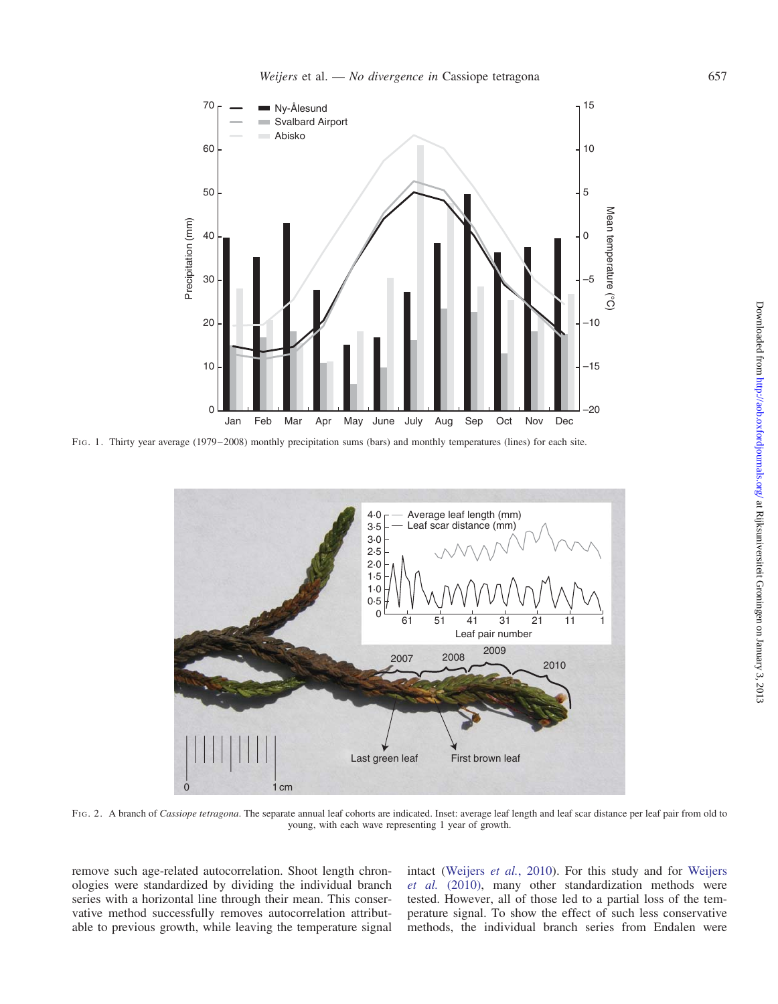<span id="page-4-0"></span>

FIG. 1. Thirty year average (1979–2008) monthly precipitation sums (bars) and monthly temperatures (lines) for each site.



FIG. 2. A branch of Cassiope tetragona. The separate annual leaf cohorts are indicated. Inset: average leaf length and leaf scar distance per leaf pair from old to young, with each wave representing 1 year of growth.

remove such age-related autocorrelation. Shoot length chronologies were standardized by dividing the individual branch series with a horizontal line through their mean. This conservative method successfully removes autocorrelation attributable to previous growth, while leaving the temperature signal

intact [\(Weijers](#page-12-0) et al., 2010). For this study and for [Weijers](#page-12-0) et al. [\(2010\),](#page-12-0) many other standardization methods were tested. However, all of those led to a partial loss of the temperature signal. To show the effect of such less conservative methods, the individual branch series from Endalen were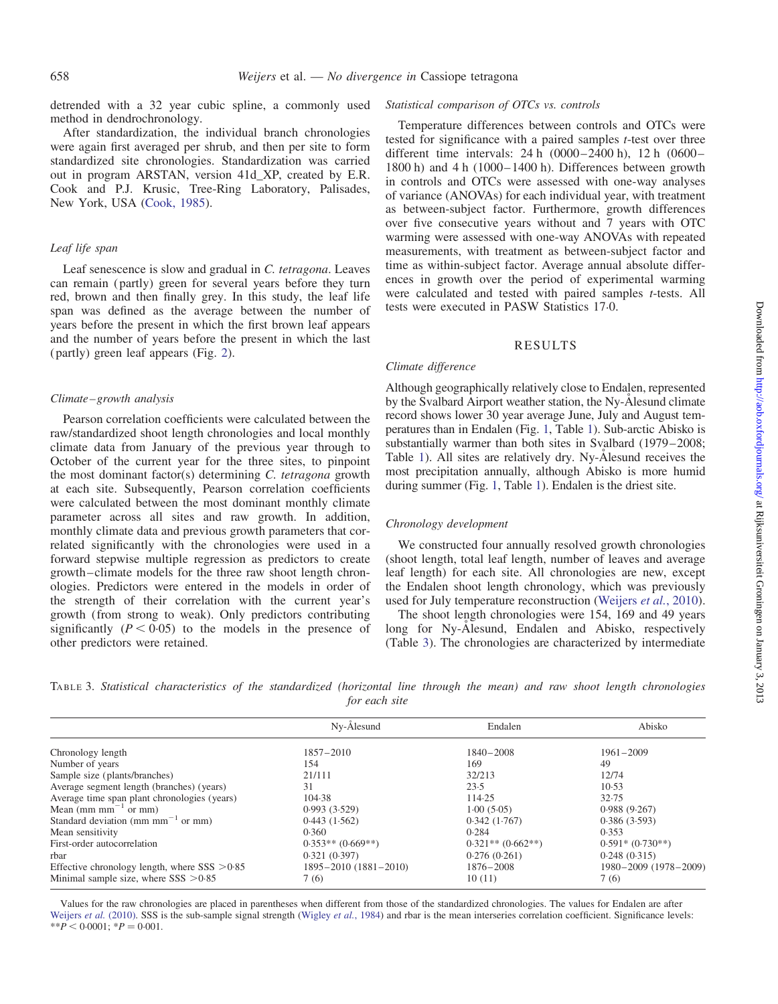detrended with a 32 year cubic spline, a commonly used method in dendrochronology.

After standardization, the individual branch chronologies were again first averaged per shrub, and then per site to form standardized site chronologies. Standardization was carried out in program ARSTAN, version 41d\_XP, created by E.R. Cook and P.J. Krusic, Tree-Ring Laboratory, Palisades, New York, USA [\(Cook, 1985\)](#page-12-0).

# Leaf life span

Leaf senescence is slow and gradual in C. tetragona. Leaves can remain (partly) green for several years before they turn red, brown and then finally grey. In this study, the leaf life span was defined as the average between the number of years before the present in which the first brown leaf appears and the number of years before the present in which the last (partly) green leaf appears (Fig. [2](#page-4-0)).

# Climate–growth analysis

Pearson correlation coefficients were calculated between the raw/standardized shoot length chronologies and local monthly climate data from January of the previous year through to October of the current year for the three sites, to pinpoint the most dominant factor(s) determining C. tetragona growth at each site. Subsequently, Pearson correlation coefficients were calculated between the most dominant monthly climate parameter across all sites and raw growth. In addition, monthly climate data and previous growth parameters that correlated significantly with the chronologies were used in a forward stepwise multiple regression as predictors to create growth–climate models for the three raw shoot length chronologies. Predictors were entered in the models in order of the strength of their correlation with the current year's growth (from strong to weak). Only predictors contributing significantly  $(P < 0.05)$  to the models in the presence of other predictors were retained.

### Statistical comparison of OTCs vs. controls

Temperature differences between controls and OTCs were tested for significance with a paired samples t-test over three different time intervals: 24 h (0000–2400 h), 12 h (0600– 1800 h) and 4 h (1000–1400 h). Differences between growth in controls and OTCs were assessed with one-way analyses of variance (ANOVAs) for each individual year, with treatment as between-subject factor. Furthermore, growth differences over five consecutive years without and 7 years with OTC warming were assessed with one-way ANOVAs with repeated measurements, with treatment as between-subject factor and time as within-subject factor. Average annual absolute differences in growth over the period of experimental warming were calculated and tested with paired samples *t*-tests. All tests were executed in PASW Statistics 17.0.

# RESULTS

# Climate difference

Although geographically relatively close to Endalen, represented by the Svalbard Airport weather station, the Ny-Alesund climate record shows lower 30 year average June, July and August temperatures than in Endalen (Fig. [1](#page-4-0), Table [1](#page-2-0)). Sub-arctic Abisko is substantially warmer than both sites in Svalbard (1979–2008; Table [1\)](#page-2-0). All sites are relatively dry. Ny-Ålesund receives the most precipitation annually, although Abisko is more humid during summer (Fig. [1,](#page-4-0) Table [1\)](#page-2-0). Endalen is the driest site.

## Chronology development

We constructed four annually resolved growth chronologies (shoot length, total leaf length, number of leaves and average leaf length) for each site. All chronologies are new, except the Endalen shoot length chronology, which was previously used for July temperature reconstruction ([Weijers](#page-12-0) et al., 2010).

The shoot length chronologies were 154, 169 and 49 years long for Ny-Ålesund, Endalen and Abisko, respectively (Table 3). The chronologies are characterized by intermediate

TABLE 3. Statistical characteristics of the standardized (horizontal line through the mean) and raw shoot length chronologies for each site

|                                                             | Ny-Ålesund                 | Endalen             | Abisko                |
|-------------------------------------------------------------|----------------------------|---------------------|-----------------------|
| Chronology length                                           | $1857 - 2010$              | $1840 - 2008$       | $1961 - 2009$         |
| Number of years                                             | 154                        | 169                 | 49                    |
| Sample size (plants/branches)                               | 21/111                     | 32/213              | 12/74                 |
| Average segment length (branches) (years)                   | 31                         | 23.5                | 10.53                 |
| Average time span plant chronologies (years)                | 104.38                     | 114.25              | 32.75                 |
| Mean (mm mm <sup><math>-1</math></sup> or mm)               | 0.993(3.529)               | 1.00(5.05)          | 0.988(9.267)          |
| Standard deviation (mm mm <sup><math>-1</math></sup> or mm) | 0.443(1.562)               | 0.342(1.767)        | 0.386(3.593)          |
| Mean sensitivity                                            | 0.360                      | 0.284               | 0.353                 |
| First-order autocorrelation                                 | $0.353**$ (0.669**)        | $0.321**$ (0.662**) | $0.591*(0.730**)$     |
| rbar                                                        | 0.321(0.397)               | 0.276(0.261)        | 0.248(0.315)          |
| Effective chronology length, where $SSS > 0.85$             | $1895 - 2010(1881 - 2010)$ | 1876-2008           | 1980-2009 (1978-2009) |
| Minimal sample size, where $SSS > 0.85$                     | 7(6)                       | 10(11)              | 7(6)                  |

Values for the raw chronologies are placed in parentheses when different from those of the standardized chronologies. The values for Endalen are after [Weijers](#page-12-0) et al. (2010). SSS is the sub-sample signal strength [\(Wigley](#page-12-0) et al., 1984) and rbar is the mean interseries correlation coefficient. Significance levels:  $*$  $*$  $\overline{P}$  < 0.0001;  $*$  $\overline{P}$  = 0.001.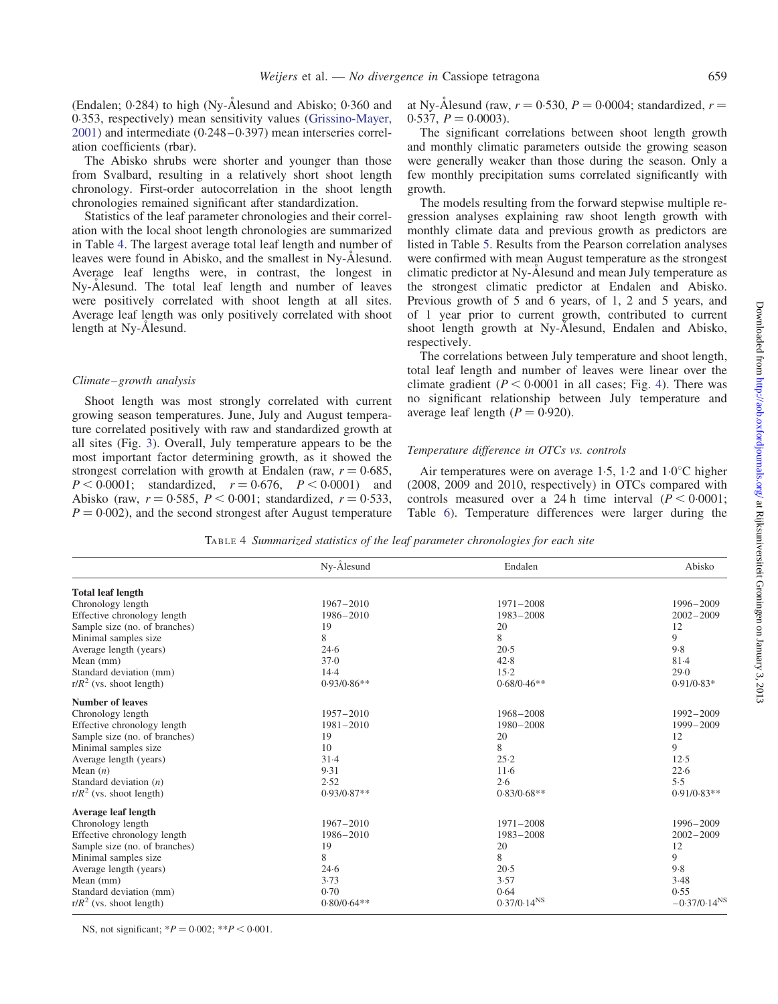<span id="page-6-0"></span>(Endalen;  $0.284$ ) to high (Ny- $\AA$ lesund and Abisko;  $0.360$  and 0.353, respectively) mean sensitivity values [\(Grissino-Mayer,](#page-12-0) [2001\)](#page-12-0) and intermediate (0.248–0.397) mean interseries correlation coefficients (rbar).

The Abisko shrubs were shorter and younger than those from Svalbard, resulting in a relatively short shoot length chronology. First-order autocorrelation in the shoot length chronologies remained significant after standardization.

Statistics of the leaf parameter chronologies and their correlation with the local shoot length chronologies are summarized in Table 4. The largest average total leaf length and number of leaves were found in Abisko, and the smallest in Ny-Ålesund. Average leaf lengths were, in contrast, the longest in Ny-Ålesund. The total leaf length and number of leaves were positively correlated with shoot length at all sites. Average leaf length was only positively correlated with shoot length at Ny-Alesund.

#### Climate–growth analysis

Shoot length was most strongly correlated with current growing season temperatures. June, July and August temperature correlated positively with raw and standardized growth at all sites (Fig. [3](#page-7-0)). Overall, July temperature appears to be the most important factor determining growth, as it showed the strongest correlation with growth at Endalen (raw,  $r = 0.685$ ,  $P < 0.0001$ ; standardized,  $r = 0.676$ ,  $P < 0.0001$ ) and Abisko (raw,  $r = 0.585$ ,  $P < 0.001$ ; standardized,  $r = 0.533$ ,  $P = 0.002$ , and the second strongest after August temperature at Ny-Ålesund (raw,  $r = 0.530$ ,  $P = 0.0004$ ; standardized,  $r =$  $0.537, P = 0.0003$ .

The significant correlations between shoot length growth and monthly climatic parameters outside the growing season were generally weaker than those during the season. Only a few monthly precipitation sums correlated significantly with growth.

The models resulting from the forward stepwise multiple regression analyses explaining raw shoot length growth with monthly climate data and previous growth as predictors are listed in Table [5.](#page-7-0) Results from the Pearson correlation analyses were confirmed with mean August temperature as the strongest climatic predictor at Ny-Ålesund and mean July temperature as the strongest climatic predictor at Endalen and Abisko. Previous growth of 5 and 6 years, of 1, 2 and 5 years, and of 1 year prior to current growth, contributed to current shoot length growth at Ny-Alesund, Endalen and Abisko, respectively.

The correlations between July temperature and shoot length, total leaf length and number of leaves were linear over the climate gradient ( $P < 0.0001$  in all cases; Fig. [4](#page-8-0)). There was no significant relationship between July temperature and average leaf length  $(P = 0.920)$ .

### Temperature difference in OTCs vs. controls

Air temperatures were on average 1.5, 1.2 and  $1.0^{\circ}$ C higher (2008, 2009 and 2010, respectively) in OTCs compared with controls measured over a 24 h time interval  $(P < 0.0001$ ; Table [6\)](#page-9-0). Temperature differences were larger during the

TABLE 4 Summarized statistics of the leaf parameter chronologies for each site

|                               | Ny-Ålesund    | Endalen          | Abisko            |
|-------------------------------|---------------|------------------|-------------------|
| <b>Total leaf length</b>      |               |                  |                   |
| Chronology length             | $1967 - 2010$ | $1971 - 2008$    | 1996-2009         |
| Effective chronology length   | 1986-2010     | 1983-2008        | $2002 - 2009$     |
| Sample size (no. of branches) | 19            | 20               | 12                |
| Minimal samples size          | 8             | 8                | 9                 |
| Average length (years)        | 24.6          | $20-5$           | 9.8               |
| Mean (mm)                     | 37.0          | 42.8             | $81 - 4$          |
| Standard deviation (mm)       | $14-4$        | $15-2$           | 29.0              |
| $r/R^2$ (vs. shoot length)    | $0.93/0.86**$ | $0.68/0.46**$    | $0.91/0.83*$      |
| <b>Number of leaves</b>       |               |                  |                   |
| Chronology length             | $1957 - 2010$ | 1968-2008        | 1992-2009         |
| Effective chronology length   | $1981 - 2010$ | 1980-2008        | 1999-2009         |
| Sample size (no. of branches) | 19            | 20               | 12                |
| Minimal samples size          | 10            | 8                | 9                 |
| Average length (years)        | 31.4          | 25.2             | 12.5              |
| Mean $(n)$                    | 9.31          | $11-6$           | 22.6              |
| Standard deviation $(n)$      | 2.52          | 2.6              | 5.5               |
| $r/R^2$ (vs. shoot length)    | $0.93/0.87**$ | $0.83/0.68**$    | $0.91/0.83**$     |
| Average leaf length           |               |                  |                   |
| Chronology length             | $1967 - 2010$ | $1971 - 2008$    | 1996-2009         |
| Effective chronology length   | 1986-2010     | 1983-2008        | $2002 - 2009$     |
| Sample size (no. of branches) | 19            | 20               | 12                |
| Minimal samples size          | 8             | 8                | 9                 |
| Average length (years)        | 24.6          | 20.5             | 9.8               |
| Mean (mm)                     | 3.73          | 3.57             | 3.48              |
| Standard deviation (mm)       | 0.70          | 0.64             | 0.55              |
| $r/R^2$ (vs. shoot length)    | $0.80/0.64**$ | $0.37/0.14^{NS}$ | $-0.37/0.14^{NS}$ |

NS, not significant;  $*P = 0.002$ ;  $*P < 0.001$ .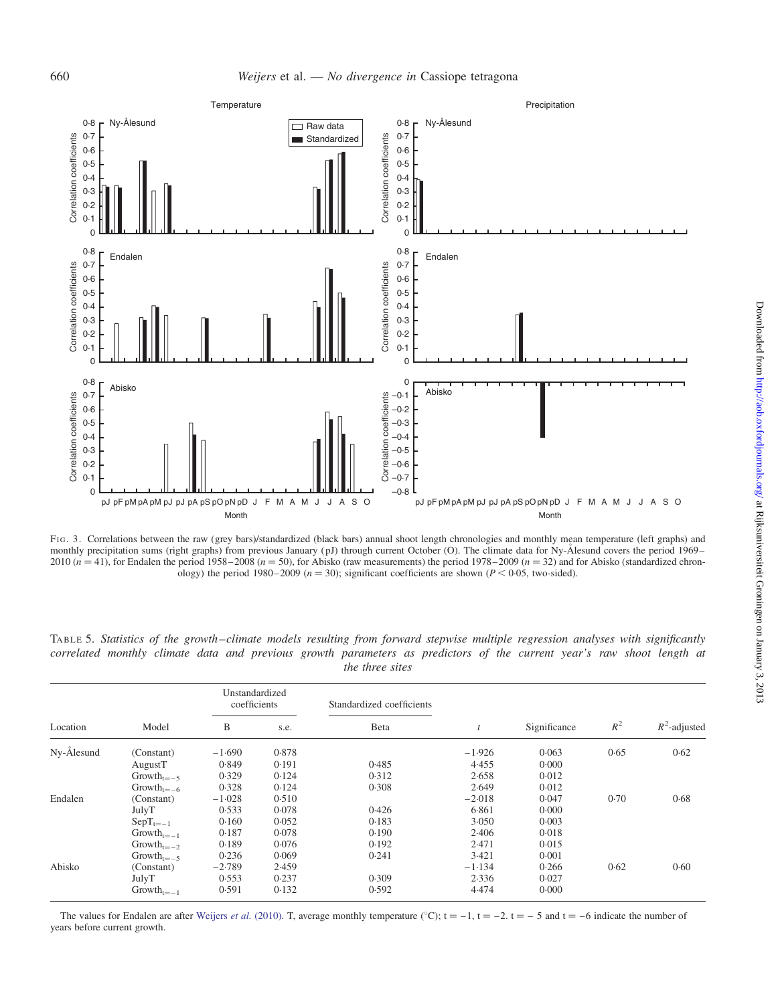<span id="page-7-0"></span>

FIG. 3. Correlations between the raw (grey bars)/standardized (black bars) annual shoot length chronologies and monthly mean temperature (left graphs) and monthly precipitation sums (right graphs) from previous January (pJ) through current October (O). The climate data for Ny-Alesund covers the period 1969– 2010 ( $n = 41$ ), for Endalen the period 1958–2008 ( $n = 50$ ), for Abisko (raw measurements) the period 1978–2009 ( $n = 32$ ) and for Abisko (standardized chronology) the period 1980–2009 ( $n = 30$ ); significant coefficients are shown ( $P < 0.05$ , two-sided).

|            |                 | Unstandardized<br>coefficients |       | Standardized coefficients |          |              |       |                 |
|------------|-----------------|--------------------------------|-------|---------------------------|----------|--------------|-------|-----------------|
| Location   | Model           | B                              | s.e.  | Beta                      |          | Significance | $R^2$ | $R^2$ -adjusted |
| Ny-Ålesund | (Constant)      | $-1.690$                       | 0.878 |                           | $-1.926$ | 0.063        | 0.65  | 0.62            |
|            | AugustT         | 0.849                          | 0.191 | 0.485                     | 4.455    | 0.000        |       |                 |
|            | $Growth_{t=-5}$ | 0.329                          | 0.124 | 0.312                     | 2.658    | 0.012        |       |                 |
|            | $Growth_{t=-6}$ | 0.328                          | 0.124 | 0.308                     | 2.649    | 0.012        |       |                 |
| Endalen    | (Constant)      | $-1.028$                       | 0.510 |                           | $-2.018$ | 0.047        | 0.70  | 0.68            |
|            | JulyT           | 0.533                          | 0.078 | 0.426                     | 6.861    | 0.000        |       |                 |
|            | $SepT_{t=-1}$   | 0.160                          | 0.052 | 0.183                     | 3.050    | 0.003        |       |                 |
|            | $Growth_{t=-1}$ | 0.187                          | 0.078 | 0.190                     | 2.406    | 0.018        |       |                 |
|            | $Growth_{t=-2}$ | 0.189                          | 0.076 | 0.192                     | 2.471    | 0.015        |       |                 |
|            | $Growth_{t=-5}$ | 0.236                          | 0.069 | 0.241                     | 3.421    | 0.001        |       |                 |
| Abisko     | (Constant)      | $-2.789$                       | 2.459 |                           | $-1.134$ | 0.266        | 0.62  | 0.60            |
|            | JulyT           | 0.553                          | 0.237 | 0.309                     | 2.336    | 0.027        |       |                 |
|            | $Growth_{t=-1}$ | 0.591                          | 0.132 | 0.592                     | 4.474    | 0.000        |       |                 |

TABLE 5. Statistics of the growth–climate models resulting from forward stepwise multiple regression analyses with significantly correlated monthly climate data and previous growth parameters as predictors of the current year's raw shoot length at the three sites

The values for Endalen are after [Weijers](#page-12-0) et al. (2010). T, average monthly temperature (°C);  $t = -1$ ,  $t = -2$ .  $t = -5$  and  $t = -6$  indicate the number of years before current growth.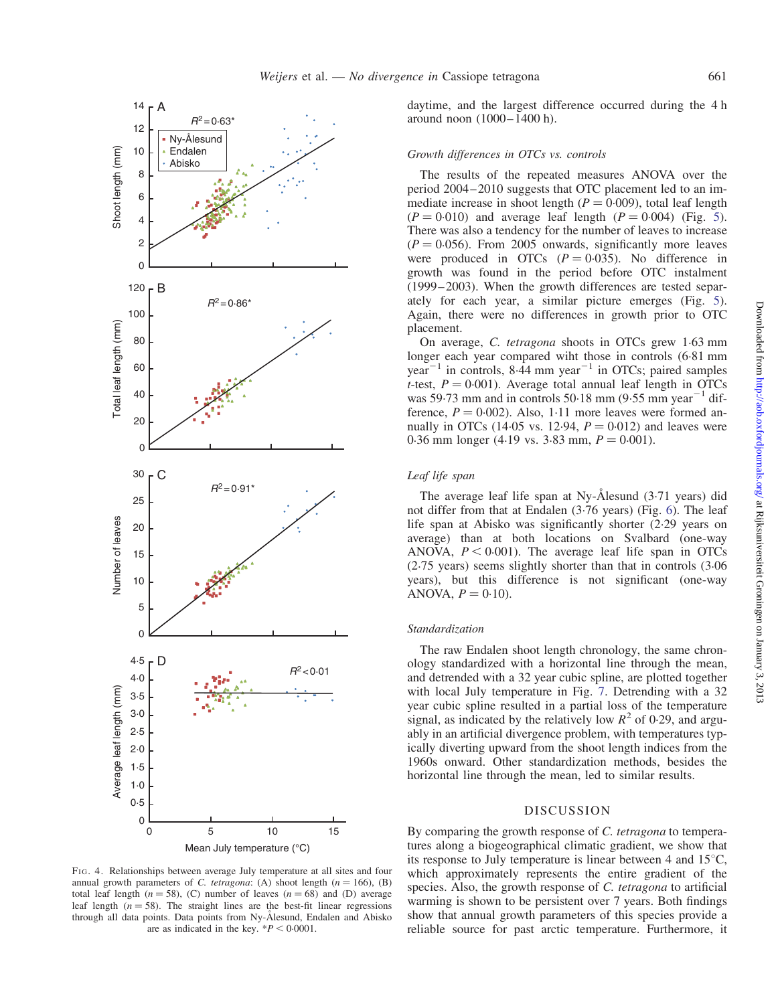<span id="page-8-0"></span>

FIG. 4. Relationships between average July temperature at all sites and four annual growth parameters of C. tetragona: (A) shoot length ( $n = 166$ ), (B) total leaf length ( $n = 58$ ), (C) number of leaves ( $n = 68$ ) and (D) average leaf length ( $n = 58$ ). The straight lines are the best-fit linear regressions through all data points. Data points from Ny-Ålesund, Endalen and Abisko are as indicated in the key.  $*P < 0.0001$ .

daytime, and the largest difference occurred during the 4 h around noon (1000–1400 h).

# Growth differences in OTCs vs. controls

The results of the repeated measures ANOVA over the period 2004–2010 suggests that OTC placement led to an immediate increase in shoot length ( $P = 0.009$ ), total leaf length  $(P = 0.010)$  and average leaf length  $(P = 0.004)$  (Fig. [5\)](#page-10-0). There was also a tendency for the number of leaves to increase  $(P = 0.056)$ . From 2005 onwards, significantly more leaves were produced in OTCs  $(P = 0.035)$ . No difference in growth was found in the period before OTC instalment (1999–2003). When the growth differences are tested separately for each year, a similar picture emerges (Fig. [5\)](#page-10-0). Again, there were no differences in growth prior to OTC placement.

On average, C. tetragona shoots in OTCs grew 1.63 mm longer each year compared wiht those in controls (6.81 mm year<sup> $-1$ </sup> in controls, 8.44 mm year<sup> $-1$ </sup> in OTCs; paired samples *t*-test,  $P = 0.001$ ). Average total annual leaf length in OTCs was 59.73 mm and in controls  $50.18$  mm  $(9.55$  mm year<sup>-1</sup> difference,  $P = 0.002$ ). Also, 1.11 more leaves were formed annually in OTCs (14.05 vs. 12.94,  $P = 0.012$ ) and leaves were 0.36 mm longer (4.19 vs. 3.83 mm,  $P = 0.001$ ).

### Leaf life span

The average leaf life span at Ny-Ålesund  $(3.71 \text{ years})$  did not differ from that at Endalen (3.76 years) (Fig. [6\)](#page-10-0). The leaf life span at Abisko was significantly shorter (2.29 years on average) than at both locations on Svalbard (one-way ANOVA,  $P < 0.001$ ). The average leaf life span in OTCs (2.75 years) seems slightly shorter than that in controls (3.06 years), but this difference is not significant (one-way ANOVA,  $P = 0.10$ ).

# Standardization

The raw Endalen shoot length chronology, the same chronology standardized with a horizontal line through the mean, and detrended with a 32 year cubic spline, are plotted together with local July temperature in Fig. [7](#page-11-0). Detrending with a 32 year cubic spline resulted in a partial loss of the temperature signal, as indicated by the relatively low  $R^2$  of 0.29, and arguably in an artificial divergence problem, with temperatures typically diverting upward from the shoot length indices from the 1960s onward. Other standardization methods, besides the horizontal line through the mean, led to similar results.

### DISCUSSION

By comparing the growth response of C. tetragona to temperatures along a biogeographical climatic gradient, we show that its response to July temperature is linear between 4 and  $15^{\circ}$ C, which approximately represents the entire gradient of the species. Also, the growth response of C. tetragona to artificial warming is shown to be persistent over 7 years. Both findings show that annual growth parameters of this species provide a reliable source for past arctic temperature. Furthermore, it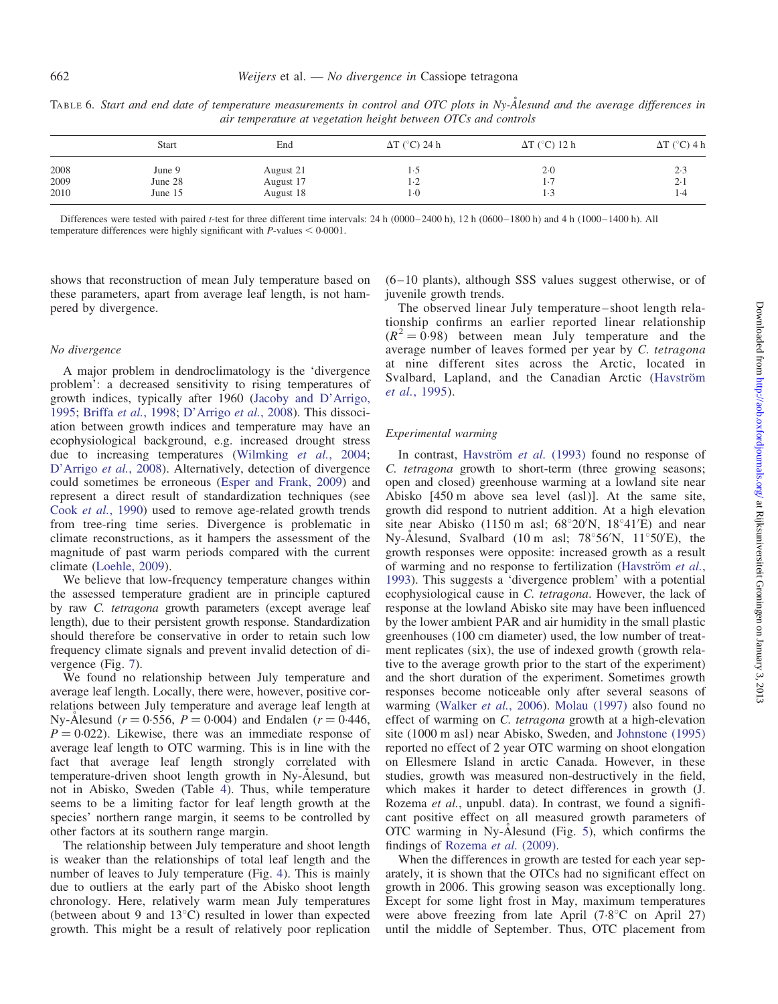| $\sim$ $\alpha$ $\sim$ $\alpha$ $\sim$ $\alpha$ |  |  |
|-------------------------------------------------|--|--|
|                                                 |  |  |
|                                                 |  |  |
|                                                 |  |  |

|      | Start   | End       | $\Delta T$ (°C) 24 h | $\Delta T$ (°C) 12 h | $\Delta T$ (°C) 4 h |
|------|---------|-----------|----------------------|----------------------|---------------------|
| 2008 | June 9  | August 21 |                      | $2-0$                | 2.3                 |
| 2009 | June 28 | August 17 | ∴∠                   | $\cdot$ /            | $2-1$               |
| 2010 | June 15 | August 18 | l (                  |                      | 1.4                 |

<span id="page-9-0"></span>TABLE 6. Start and end date of temperature measurements in control and OTC plots in Ny-Ålesund and the average differences in air temperature at vegetation height between OTCs and controls

Differences were tested with paired t-test for three different time intervals: 24 h (0000–2400 h), 12 h (0600–1800 h) and 4 h (1000–1400 h). All temperature differences were highly significant with  $P$ -values  $< 0.0001$ .

shows that reconstruction of mean July temperature based on these parameters, apart from average leaf length, is not hampered by divergence.

## No divergence

A major problem in dendroclimatology is the 'divergence problem': a decreased sensitivity to rising temperatures of growth indices, typically after 1960 [\(Jacoby and D'Arrigo,](#page-12-0) [1995;](#page-12-0) Briffa et al.[, 1998;](#page-12-0) [D'Arrigo](#page-12-0) et al., 2008). This dissociation between growth indices and temperature may have an ecophysiological background, e.g. increased drought stress due to increasing temperatures [\(Wilmking](#page-12-0) et al., 2004; [D'Arrigo](#page-12-0) et al., 2008). Alternatively, detection of divergence could sometimes be erroneous ([Esper and Frank, 2009\)](#page-12-0) and represent a direct result of standardization techniques (see Cook et al.[, 1990\)](#page-12-0) used to remove age-related growth trends from tree-ring time series. Divergence is problematic in climate reconstructions, as it hampers the assessment of the magnitude of past warm periods compared with the current climate ([Loehle, 2009\)](#page-12-0).

We believe that low-frequency temperature changes within the assessed temperature gradient are in principle captured by raw C. tetragona growth parameters (except average leaf length), due to their persistent growth response. Standardization should therefore be conservative in order to retain such low frequency climate signals and prevent invalid detection of divergence (Fig. [7\)](#page-11-0).

We found no relationship between July temperature and average leaf length. Locally, there were, however, positive correlations between July temperature and average leaf length at Ny-Ålesund ( $r = 0.556$ ,  $P = 0.004$ ) and Endalen ( $r = 0.446$ ,  $P = 0.022$ ). Likewise, there was an immediate response of average leaf length to OTC warming. This is in line with the fact that average leaf length strongly correlated with temperature-driven shoot length growth in Ny-Ålesund, but not in Abisko, Sweden (Table [4\)](#page-6-0). Thus, while temperature seems to be a limiting factor for leaf length growth at the species' northern range margin, it seems to be controlled by other factors at its southern range margin.

The relationship between July temperature and shoot length is weaker than the relationships of total leaf length and the number of leaves to July temperature (Fig. [4](#page-8-0)). This is mainly due to outliers at the early part of the Abisko shoot length chronology. Here, relatively warm mean July temperatures (between about 9 and  $13^{\circ}$ C) resulted in lower than expected growth. This might be a result of relatively poor replication (6–10 plants), although SSS values suggest otherwise, or of juvenile growth trends.

The observed linear July temperature–shoot length relationship confirms an earlier reported linear relationship  $(R^2 = 0.98)$  between mean July temperature and the average number of leaves formed per year by C. tetragona at nine different sites across the Arctic, located in Svalbard, Lapland, and the Canadian Arctic (Havström et al.[, 1995](#page-12-0)).

# Experimental warming

In contrast, Havström et al. (1993) found no response of C. tetragona growth to short-term (three growing seasons; open and closed) greenhouse warming at a lowland site near Abisko [450 m above sea level (asl)]. At the same site, growth did respond to nutrient addition. At a high elevation site near Abisko (1150 m asl;  $68^{\circ}20'N$ ,  $18^{\circ}41'E$ ) and near Ny-Ålesund, Svalbard (10 m asl;  $78^{\circ}56'N$ ,  $11^{\circ}50'E$ ), the growth responses were opposite: increased growth as a result of warming and no response to fertilization (Havström et al., [1993\)](#page-12-0). This suggests a 'divergence problem' with a potential ecophysiological cause in C. tetragona. However, the lack of response at the lowland Abisko site may have been influenced by the lower ambient PAR and air humidity in the small plastic greenhouses (100 cm diameter) used, the low number of treatment replicates (six), the use of indexed growth (growth relative to the average growth prior to the start of the experiment) and the short duration of the experiment. Sometimes growth responses become noticeable only after several seasons of warming [\(Walker](#page-12-0) et al., 2006). [Molau \(1997\)](#page-12-0) also found no effect of warming on C. tetragona growth at a high-elevation site (1000 m asl) near Abisko, Sweden, and [Johnstone \(1995\)](#page-12-0) reported no effect of 2 year OTC warming on shoot elongation on Ellesmere Island in arctic Canada. However, in these studies, growth was measured non-destructively in the field, which makes it harder to detect differences in growth (J. Rozema et al., unpubl. data). In contrast, we found a significant positive effect on all measured growth parameters of OTC warming in Ny- $\AA$ lesund (Fig. [5\)](#page-10-0), which confirms the findings of [Rozema](#page-12-0) et al. (2009).

When the differences in growth are tested for each year separately, it is shown that the OTCs had no significant effect on growth in 2006. This growing season was exceptionally long. Except for some light frost in May, maximum temperatures were above freezing from late April  $(7.8^{\circ}$ C on April 27) until the middle of September. Thus, OTC placement from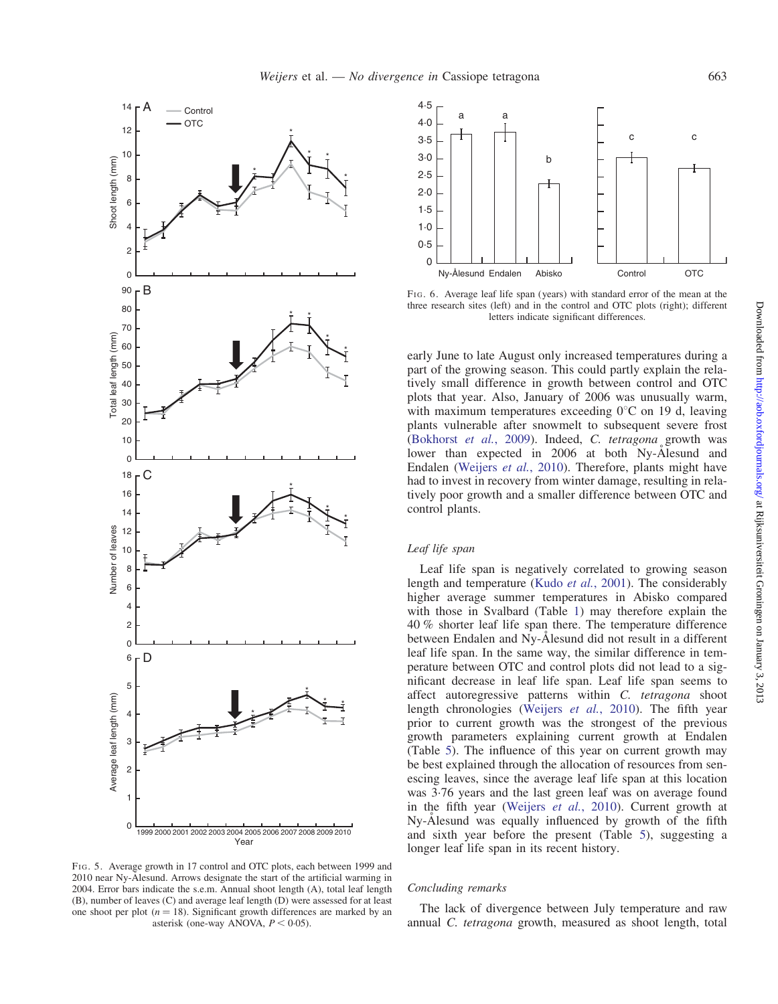<span id="page-10-0"></span>



FIG. 6. Average leaf life span (years) with standard error of the mean at the three research sites (left) and in the control and OTC plots (right); different letters indicate significant differences.

early June to late August only increased temperatures during a part of the growing season. This could partly explain the relatively small difference in growth between control and OTC plots that year. Also, January of 2006 was unusually warm, with maximum temperatures exceeding  $0^{\circ}$ C on 19 d, leaving plants vulnerable after snowmelt to subsequent severe frost [\(Bokhorst](#page-12-0) et al., 2009). Indeed, C. tetragona growth was lower than expected in 2006 at both Ny-Alesund and Endalen ([Weijers](#page-12-0) et al., 2010). Therefore, plants might have had to invest in recovery from winter damage, resulting in relatively poor growth and a smaller difference between OTC and control plants.

#### Leaf life span

Leaf life span is negatively correlated to growing season length and temperature (Kudo et al.[, 2001](#page-12-0)). The considerably higher average summer temperatures in Abisko compared with those in Svalbard (Table [1\)](#page-2-0) may therefore explain the 40 % shorter leaf life span there. The temperature difference between Endalen and Ny-Ålesund did not result in a different leaf life span. In the same way, the similar difference in temperature between OTC and control plots did not lead to a significant decrease in leaf life span. Leaf life span seems to affect autoregressive patterns within C. tetragona shoot length chronologies [\(Weijers](#page-12-0) et al., 2010). The fifth year prior to current growth was the strongest of the previous growth parameters explaining current growth at Endalen (Table [5\)](#page-7-0). The influence of this year on current growth may be best explained through the allocation of resources from senescing leaves, since the average leaf life span at this location was 3.76 years and the last green leaf was on average found in the fifth year ([Weijers](#page-12-0) et al., 2010). Current growth at Ny-Alesund was equally influenced by growth of the fifth and sixth year before the present (Table [5\)](#page-7-0), suggesting a longer leaf life span in its recent history.

FIG. 5. Average growth in 17 control and OTC plots, each between 1999 and 2010 near Ny-Alesund. Arrows designate the start of the artificial warming in 2004. Error bars indicate the s.e.m. Annual shoot length (A), total leaf length (B), number of leaves (C) and average leaf length (D) were assessed for at least one shoot per plot  $(n = 18)$ . Significant growth differences are marked by an asterisk (one-way ANOVA,  $P < 0.05$ ).

# Concluding remarks

The lack of divergence between July temperature and raw annual C. tetragona growth, measured as shoot length, total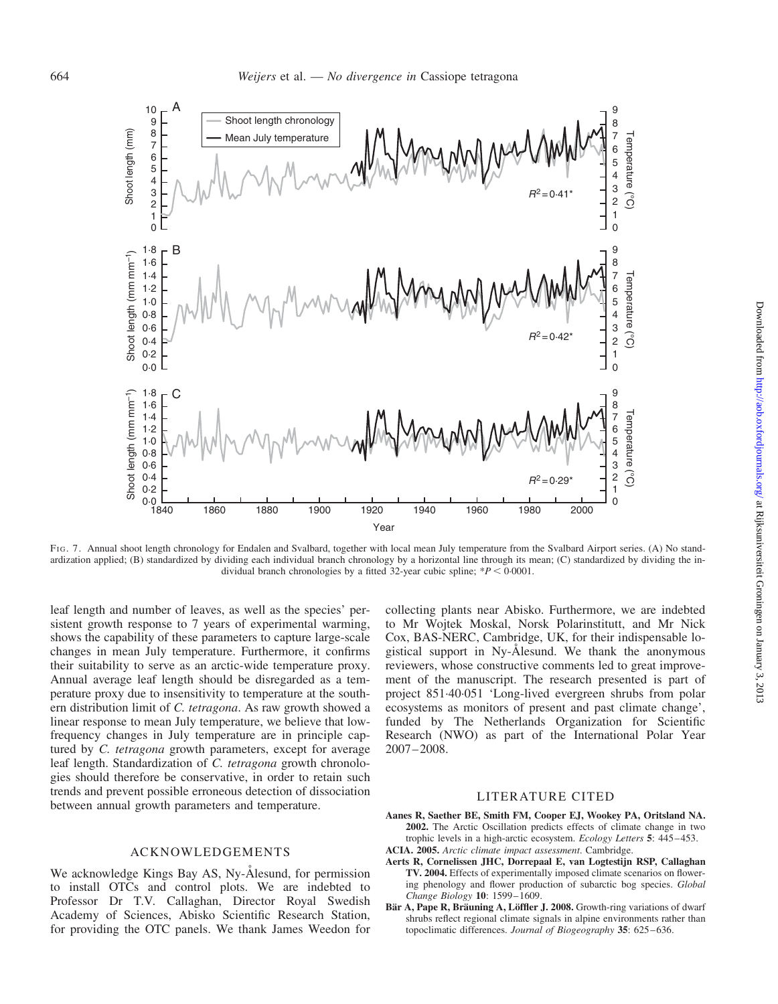<span id="page-11-0"></span>

FIG. 7. Annual shoot length chronology for Endalen and Svalbard, together with local mean July temperature from the Svalbard Airport series. (A) No standardization applied; (B) standardized by dividing each individual branch chronology by a horizontal line through its mean; (C) standardized by dividing the individual branch chronologies by a fitted 32-year cubic spline;  $*P < 0.0001$ .

leaf length and number of leaves, as well as the species' persistent growth response to 7 years of experimental warming, shows the capability of these parameters to capture large-scale changes in mean July temperature. Furthermore, it confirms their suitability to serve as an arctic-wide temperature proxy. Annual average leaf length should be disregarded as a temperature proxy due to insensitivity to temperature at the southern distribution limit of C. tetragona. As raw growth showed a linear response to mean July temperature, we believe that lowfrequency changes in July temperature are in principle captured by C. tetragona growth parameters, except for average leaf length. Standardization of C. tetragona growth chronologies should therefore be conservative, in order to retain such trends and prevent possible erroneous detection of dissociation between annual growth parameters and temperature.

# ACKNOWLEDGEMENTS

We acknowledge Kings Bay AS, Ny-Ålesund, for permission to install OTCs and control plots. We are indebted to Professor Dr T.V. Callaghan, Director Royal Swedish Academy of Sciences, Abisko Scientific Research Station, for providing the OTC panels. We thank James Weedon for

collecting plants near Abisko. Furthermore, we are indebted to Mr Wojtek Moskal, Norsk Polarinstitutt, and Mr Nick Cox, BAS-NERC, Cambridge, UK, for their indispensable logistical support in Ny-Alesund. We thank the anonymous reviewers, whose constructive comments led to great improvement of the manuscript. The research presented is part of project 851.40.051 'Long-lived evergreen shrubs from polar ecosystems as monitors of present and past climate change', funded by The Netherlands Organization for Scientific Research (NWO) as part of the International Polar Year 2007–2008.

## LITERATURE CITED

- Aanes R, Saether BE, Smith FM, Cooper EJ, Wookey PA, Oritsland NA. 2002. The Arctic Oscillation predicts effects of climate change in two trophic levels in a high-arctic ecosystem. Ecology Letters 5: 445–453. ACIA. 2005. Arctic climate impact assessment. Cambridge.
- Aerts R, Cornelissen JHC, Dorrepaal E, van Logtestijn RSP, Callaghan TV. 2004. Effects of experimentally imposed climate scenarios on flowering phenology and flower production of subarctic bog species. Global Change Biology 10: 1599–1609.
- Bär A, Pape R, Bräuning A, Löffler J. 2008. Growth-ring variations of dwarf shrubs reflect regional climate signals in alpine environments rather than topoclimatic differences. Journal of Biogeography 35: 625–636.